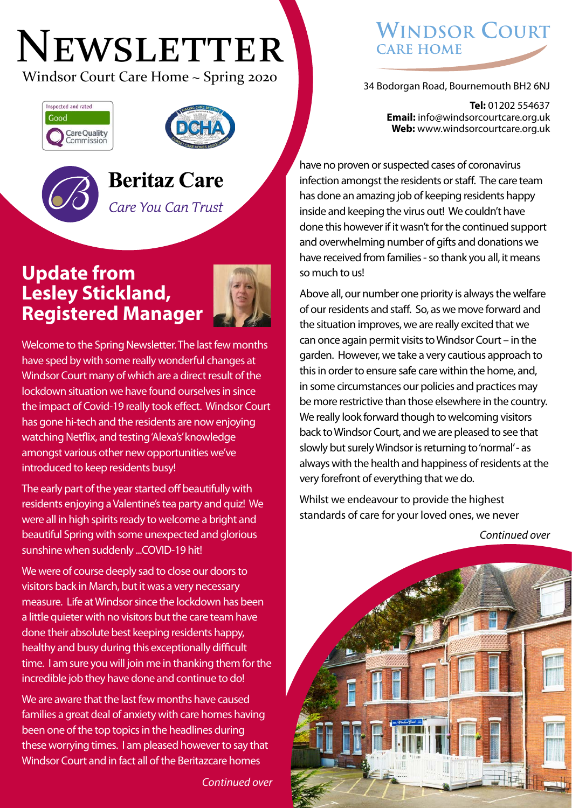# NEWSLETTER

Windsor Court Care Home ~ Spring 2020 34 Bodorgan Road, Bournemouth BH2 6NJ





## **Beritaz Care**

Care You Can Trust

#### **Update from Lesley Stickland, Registered Manager**



Welcome to the Spring Newsletter. The last few months have sped by with some really wonderful changes at Windsor Court many of which are a direct result of the lockdown situation we have found ourselves in since the impact of Covid-19 really took effect. Windsor Court has gone hi-tech and the residents are now enjoying watching Netflix, and testing 'Alexa's' knowledge amongst various other new opportunities we've introduced to keep residents busy!

The early part of the year started off beautifully with residents enjoying a Valentine's tea party and quiz! We were all in high spirits ready to welcome a bright and beautiful Spring with some unexpected and glorious sunshine when suddenly ...COVID-19 hit!

We were of course deeply sad to close our doors to visitors back in March, but it was a very necessary measure. Life at Windsor since the lockdown has been a little quieter with no visitors but the care team have done their absolute best keeping residents happy, healthy and busy during this exceptionally difficult time. I am sure you will join me in thanking them for the incredible job they have done and continue to do!

We are aware that the last few months have caused families a great deal of anxiety with care homes having been one of the top topics in the headlines during these worrying times. I am pleased however to say that Windsor Court and in fact all of the Beritazcare homes

*Continued over*

### **WINDSOR COURT CARE HOME**

**Tel:** 01202 554637 **Email:** info@windsorcourtcare.org.uk **Web:** www.windsorcourtcare.org.uk

have no proven or suspected cases of coronavirus infection amongst the residents or staff. The care team has done an amazing job of keeping residents happy inside and keeping the virus out! We couldn't have done this however if it wasn't for the continued support and overwhelming number of gifts and donations we have received from families - so thank you all, it means so much to us!

Above all, our number one priority is always the welfare of our residents and staff. So, as we move forward and the situation improves, we are really excited that we can once again permit visits to Windsor Court – in the garden. However, we take a very cautious approach to this in order to ensure safe care within the home, and, in some circumstances our policies and practices may be more restrictive than those elsewhere in the country. We really look forward though to welcoming visitors back to Windsor Court, and we are pleased to see that slowly but surely Windsor is returning to 'normal' - as always with the health and happiness of residents at the very forefront of everything that we do.

Whilst we endeavour to provide the highest standards of care for your loved ones, we never

*Continued over*

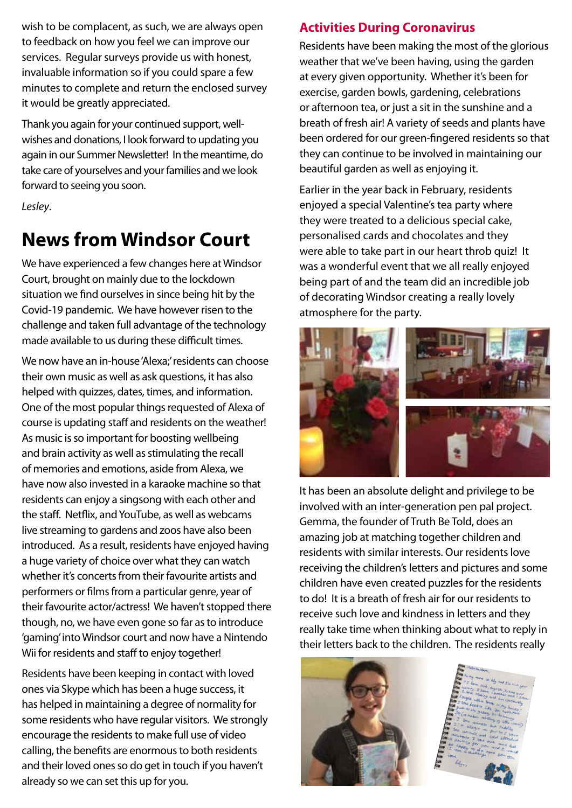wish to be complacent, as such, we are always open to feedback on how you feel we can improve our services. Regular surveys provide us with honest, invaluable information so if you could spare a few minutes to complete and return the enclosed survey it would be greatly appreciated.

Thank you again for your continued support, wellwishes and donations, I look forward to updating you again in our Summer Newsletter! In the meantime, do take care of yourselves and your families and we look forward to seeing you soon.

*Lesley*.

# **News from Windsor Court**

We have experienced a few changes here at Windsor Court, brought on mainly due to the lockdown situation we find ourselves in since being hit by the Covid-19 pandemic. We have however risen to the challenge and taken full advantage of the technology made available to us during these difficult times.

We now have an in-house 'Alexa;' residents can choose their own music as well as ask questions, it has also helped with quizzes, dates, times, and information. One of the most popular things requested of Alexa of course is updating staff and residents on the weather! As music is so important for boosting wellbeing and brain activity as well as stimulating the recall of memories and emotions, aside from Alexa, we have now also invested in a karaoke machine so that residents can enjoy a singsong with each other and the staff. Netflix, and YouTube, as well as webcams live streaming to gardens and zoos have also been introduced. As a result, residents have enjoyed having a huge variety of choice over what they can watch whether it's concerts from their favourite artists and performers or films from a particular genre, year of their favourite actor/actress! We haven't stopped there though, no, we have even gone so far as to introduce 'gaming' into Windsor court and now have a Nintendo Wii for residents and staff to enjoy together!

Residents have been keeping in contact with loved ones via Skype which has been a huge success, it has helped in maintaining a degree of normality for some residents who have regular visitors. We strongly encourage the residents to make full use of video calling, the benefits are enormous to both residents and their loved ones so do get in touch if you haven't already so we can set this up for you.

#### **Activities During Coronavirus**

Residents have been making the most of the glorious weather that we've been having, using the garden at every given opportunity. Whether it's been for exercise, garden bowls, gardening, celebrations or afternoon tea, or just a sit in the sunshine and a breath of fresh air! A variety of seeds and plants have been ordered for our green-fingered residents so that they can continue to be involved in maintaining our beautiful garden as well as enjoying it.

Earlier in the year back in February, residents enjoyed a special Valentine's tea party where they were treated to a delicious special cake, personalised cards and chocolates and they were able to take part in our heart throb quiz! It was a wonderful event that we all really enjoyed being part of and the team did an incredible job of decorating Windsor creating a really lovely atmosphere for the party.



It has been an absolute delight and privilege to be involved with an inter-generation pen pal project. Gemma, the founder of Truth Be Told, does an amazing job at matching together children and residents with similar interests. Our residents love receiving the children's letters and pictures and some children have even created puzzles for the residents to do! It is a breath of fresh air for our residents to receive such love and kindness in letters and they really take time when thinking about what to reply in their letters back to the children. The residents really

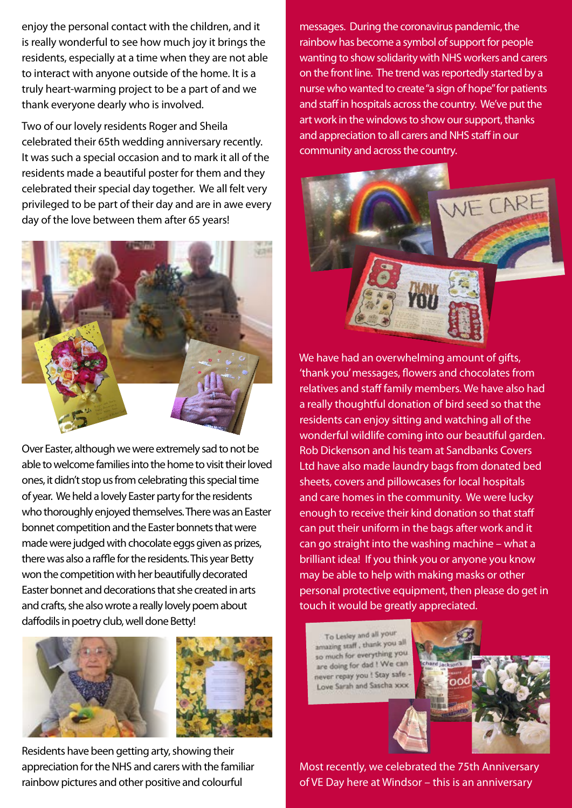enjoy the personal contact with the children, and it is really wonderful to see how much joy it brings the residents, especially at a time when they are not able to interact with anyone outside of the home. It is a truly heart-warming project to be a part of and we thank everyone dearly who is involved.

Two of our lovely residents Roger and Sheila celebrated their 65th wedding anniversary recently. It was such a special occasion and to mark it all of the residents made a beautiful poster for them and they celebrated their special day together. We all felt very privileged to be part of their day and are in awe every day of the love between them after 65 years!



Over Easter, although we were extremely sad to not be able to welcome families into the home to visit their loved ones, it didn't stop us from celebrating this special time of year. We held a lovely Easter party for the residents who thoroughly enjoyed themselves. There was an Easter bonnet competition and the Easter bonnets that were made were judged with chocolate eggs given as prizes, there was also a raffle for the residents. This year Betty won the competition with her beautifully decorated Easter bonnet and decorations that she created in arts and crafts, she also wrote a really lovely poem about daffodils in poetry club, well done Betty!



Residents have been getting arty, showing their appreciation for the NHS and carers with the familiar rainbow pictures and other positive and colourful

messages. During the coronavirus pandemic, the rainbow has become a symbol of support for people wanting to show solidarity with NHS workers and carers on the front line. The trend was reportedly started by a nurse who wanted to create "a sign of hope" for patients and staff in hospitals across the country. We've put the art work in the windows to show our support, thanks and appreciation to all carers and NHS staff in our community and across the country.



We have had an overwhelming amount of gifts, 'thank you' messages, flowers and chocolates from relatives and staff family members. We have also had a really thoughtful donation of bird seed so that the residents can enjoy sitting and watching all of the wonderful wildlife coming into our beautiful garden. Rob Dickenson and his team at Sandbanks Covers Ltd have also made laundry bags from donated bed sheets, covers and pillowcases for local hospitals and care homes in the community. We were lucky enough to receive their kind donation so that staff can put their uniform in the bags after work and it can go straight into the washing machine – what a brilliant idea! If you think you or anyone you know may be able to help with making masks or other personal protective equipment, then please do get in touch it would be greatly appreciated.

To Lesley and all your amazing staff, thank you all so much for everything you are doing for dad ! We can never repay you ! Stay safe -Love Sarah and Sascha xxx



Most recently, we celebrated the 75th Anniversary of VE Day here at Windsor – this is an anniversary